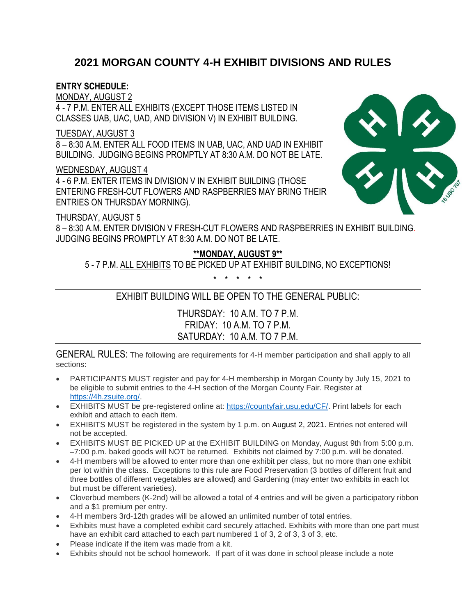#### **2021 MORGAN COUNTY 4-H EXHIBIT DIVISIONS AND RULES**

#### **ENTRY SCHEDULE:**

MONDAY, AUGUST 2

4 - 7 P.M. ENTER ALL EXHIBITS (EXCEPT THOSE ITEMS LISTED IN CLASSES UAB, UAC, UAD, AND DIVISION V) IN EXHIBIT BUILDING.

#### TUESDAY, AUGUST 3

8 – 8:30 A.M. ENTER ALL FOOD ITEMS IN UAB, UAC, AND UAD IN EXHIBIT BUILDING. JUDGING BEGINS PROMPTLY AT 8:30 A.M. DO NOT BE LATE.

#### WEDNESDAY, AUGUST 4

4 - 6 P.M. ENTER ITEMS IN DIVISION V IN EXHIBIT BUILDING (THOSE ENTERING FRESH-CUT FLOWERS AND RASPBERRIES MAY BRING THEIR ENTRIES ON THURSDAY MORNING).

#### THURSDAY, AUGUST 5

8 – 8:30 A.M. ENTER DIVISION V FRESH-CUT FLOWERS AND RASPBERRIES IN EXHIBIT BUILDING. JUDGING BEGINS PROMPTLY AT 8:30 A.M. DO NOT BE LATE.

#### **\*\*MONDAY, AUGUST 9\*\***

5 - 7 P.M. ALL EXHIBITS TO BE PICKED UP AT EXHIBIT BUILDING, NO EXCEPTIONS!

\* \* \* \* \*

#### EXHIBIT BUILDING WILL BE OPEN TO THE GENERAL PUBLIC:

THURSDAY: 10 A.M. TO 7 P.M. FRIDAY: 10 A.M. TO 7 P.M. SATURDAY: 10 A.M. TO 7 P.M.

GENERAL RULES: The following are requirements for 4-H member participation and shall apply to all sections:

- PARTICIPANTS MUST register and pay for 4-H membership in Morgan County by July 15, 2021 to be eligible to submit entries to the 4-H section of the Morgan County Fair. Register at [https://4h.zsuite.org/.](https://4h.zsuite.org/)
- EXHIBITS MUST be pre-registered online at: [https://countyfair.usu.edu/CF/.](https://countyfair.usu.edu/CF/) Print labels for each exhibit and attach to each item.
- EXHIBITS MUST be registered in the system by 1 p.m. on August 2, 2021. Entries not entered will not be accepted.
- EXHIBITS MUST BE PICKED UP at the EXHIBIT BUILDING on Monday, August 9th from 5:00 p.m. –7:00 p.m. baked goods will NOT be returned. Exhibits not claimed by 7:00 p.m. will be donated.
- 4-H members will be allowed to enter more than one exhibit per class, but no more than one exhibit per lot within the class. Exceptions to this rule are Food Preservation (3 bottles of different fruit and three bottles of different vegetables are allowed) and Gardening (may enter two exhibits in each lot but must be different varieties).
- Cloverbud members (K-2nd) will be allowed a total of 4 entries and will be given a participatory ribbon and a \$1 premium per entry.
- 4-H members 3rd-12th grades will be allowed an unlimited number of total entries.
- Exhibits must have a completed exhibit card securely attached. Exhibits with more than one part must have an exhibit card attached to each part numbered 1 of 3, 2 of 3, 3 of 3, etc.
- Please indicate if the item was made from a kit.
- Exhibits should not be school homework. If part of it was done in school please include a note

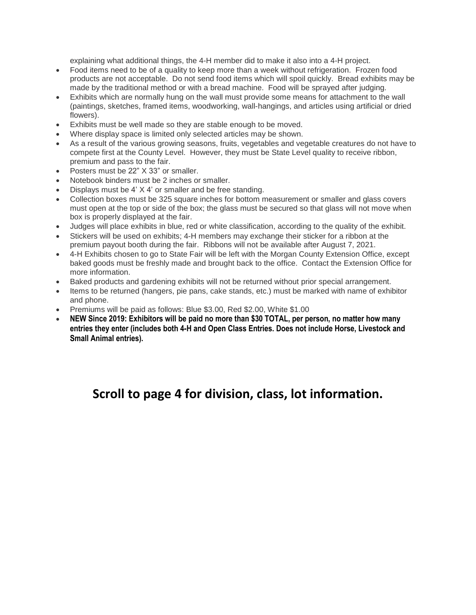explaining what additional things, the 4-H member did to make it also into a 4-H project.

- Food items need to be of a quality to keep more than a week without refrigeration. Frozen food products are not acceptable. Do not send food items which will spoil quickly. Bread exhibits may be made by the traditional method or with a bread machine. Food will be sprayed after judging.
- Exhibits which are normally hung on the wall must provide some means for attachment to the wall (paintings, sketches, framed items, woodworking, wall-hangings, and articles using artificial or dried flowers).
- Exhibits must be well made so they are stable enough to be moved.
- Where display space is limited only selected articles may be shown.
- As a result of the various growing seasons, fruits, vegetables and vegetable creatures do not have to compete first at the County Level. However, they must be State Level quality to receive ribbon, premium and pass to the fair.
- Posters must be 22" X 33" or smaller.
- Notebook binders must be 2 inches or smaller.
- Displays must be 4' X 4' or smaller and be free standing.
- Collection boxes must be 325 square inches for bottom measurement or smaller and glass covers must open at the top or side of the box; the glass must be secured so that glass will not move when box is properly displayed at the fair.
- Judges will place exhibits in blue, red or white classification, according to the quality of the exhibit.
- Stickers will be used on exhibits; 4-H members may exchange their sticker for a ribbon at the premium payout booth during the fair. Ribbons will not be available after August 7, 2021.
- 4-H Exhibits chosen to go to State Fair will be left with the Morgan County Extension Office, except baked goods must be freshly made and brought back to the office. Contact the Extension Office for more information.
- Baked products and gardening exhibits will not be returned without prior special arrangement.
- Items to be returned (hangers, pie pans, cake stands, etc.) must be marked with name of exhibitor and phone.
- Premiums will be paid as follows: Blue \$3.00, Red \$2.00, White \$1.00
- **NEW Since 2019: Exhibitors will be paid no more than \$30 TOTAL, per person, no matter how many entries they enter (includes both 4-H and Open Class Entries. Does not include Horse, Livestock and Small Animal entries).**

### **Scroll to page 4 for division, class, lot information.**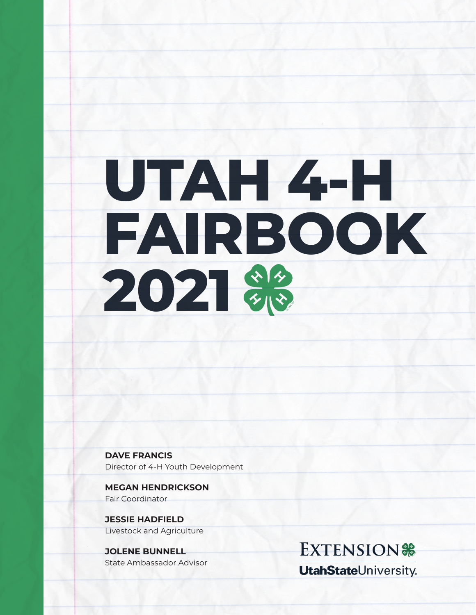# **UTAH 4-H FAIRBOOK** 2021

**DAVE FRANCIS** Director of 4-H Youth Development

**MEGAN HENDRICKSON** Fair Coordinator

**JESSIE HADFIELD** Livestock and Agriculture

**JOLENE BUNNELL** State Ambassador Advisor

**EXTENSION% UtahStateUniversity**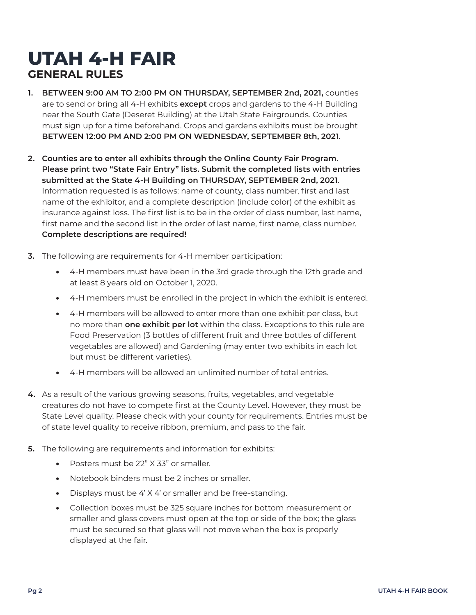## **UTAH 4-H FAIR GENERAL RULES**

- **1. BETWEEN 9:00 AM TO 2:00 PM ON THURSDAY, SEPTEMBER 2nd, 2021,** counties are to send or bring all 4-H exhibits **except** crops and gardens to the 4-H Building near the South Gate (Deseret Building) at the Utah State Fairgrounds. Counties must sign up for a time beforehand. Crops and gardens exhibits must be brought **BETWEEN 12:00 PM AND 2:00 PM ON WEDNESDAY, SEPTEMBER 8th, 2021**.
- **2. Counties are to enter all exhibits through the Online County Fair Program. Please print two "State Fair Entry" lists. Submit the completed lists with entries submitted at the State 4-H Building on THURSDAY, SEPTEMBER 2nd, 2021**. Information requested is as follows: name of county, class number, first and last name of the exhibitor, and a complete description (include color) of the exhibit as insurance against loss. The first list is to be in the order of class number, last name, first name and the second list in the order of last name, first name, class number. **Complete descriptions are required!**
- **3.** The following are requirements for 4-H member participation:
	- 4-H members must have been in the 3rd grade through the 12th grade and at least 8 years old on October 1, 2020.
	- 4-H members must be enrolled in the project in which the exhibit is entered.
	- 4-H members will be allowed to enter more than one exhibit per class, but no more than **one exhibit per lot** within the class. Exceptions to this rule are Food Preservation (3 bottles of different fruit and three bottles of different vegetables are allowed) and Gardening (may enter two exhibits in each lot but must be different varieties).
	- 4-H members will be allowed an unlimited number of total entries.
- **4.** As a result of the various growing seasons, fruits, vegetables, and vegetable creatures do not have to compete first at the County Level. However, they must be State Level quality. Please check with your county for requirements. Entries must be of state level quality to receive ribbon, premium, and pass to the fair.
- **5.** The following are requirements and information for exhibits:
	- Posters must be 22" X 33" or smaller.
	- Notebook binders must be 2 inches or smaller.
	- Displays must be 4' X 4' or smaller and be free-standing.
	- Collection boxes must be 325 square inches for bottom measurement or smaller and glass covers must open at the top or side of the box; the glass must be secured so that glass will not move when the box is properly displayed at the fair.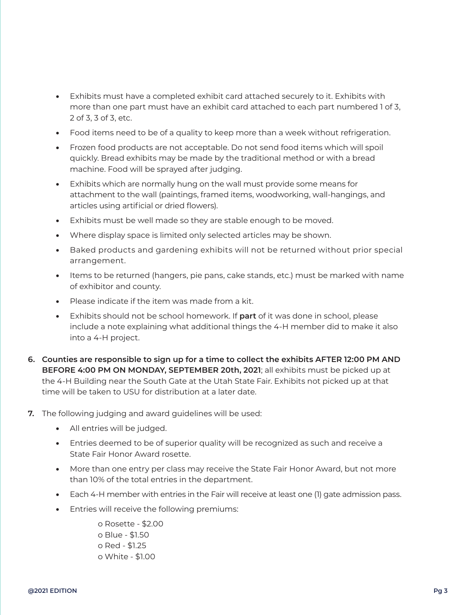- Exhibits must have a completed exhibit card attached securely to it. Exhibits with more than one part must have an exhibit card attached to each part numbered 1 of 3, 2 of 3, 3 of 3, etc.
- Food items need to be of a quality to keep more than a week without refrigeration.
- Frozen food products are not acceptable. Do not send food items which will spoil quickly. Bread exhibits may be made by the traditional method or with a bread machine. Food will be sprayed after judging.
- Exhibits which are normally hung on the wall must provide some means for attachment to the wall (paintings, framed items, woodworking, wall-hangings, and articles using artificial or dried flowers).
- Exhibits must be well made so they are stable enough to be moved.
- Where display space is limited only selected articles may be shown.
- Baked products and gardening exhibits will not be returned without prior special arrangement.
- Items to be returned (hangers, pie pans, cake stands, etc.) must be marked with name of exhibitor and county.
- Please indicate if the item was made from a kit.
- Exhibits should not be school homework. If **part** of it was done in school, please include a note explaining what additional things the 4-H member did to make it also into a 4-H project.
- **6. Counties are responsible to sign up for a time to collect the exhibits AFTER 12:00 PM AND BEFORE 4:00 PM ON MONDAY, SEPTEMBER 20th, 2021**; all exhibits must be picked up at the 4-H Building near the South Gate at the Utah State Fair. Exhibits not picked up at that time will be taken to USU for distribution at a later date.
- **7.** The following judging and award guidelines will be used:
	- All entries will be judged.
	- Entries deemed to be of superior quality will be recognized as such and receive a State Fair Honor Award rosette.
	- More than one entry per class may receive the State Fair Honor Award, but not more than 10% of the total entries in the department.
	- Each 4-H member with entries in the Fair will receive at least one (1) gate admission pass.
	- Entries will receive the following premiums:

o Rosette - \$2.00 o Blue - \$1.50 o Red - \$1.25 o White - \$1.00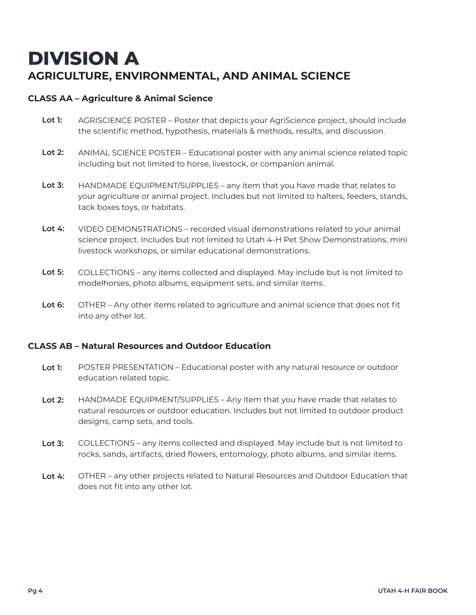## **DIVISION A AGRICULTURE, ENVIRONMENTAL, AND ANIMAL SCIENCE**

#### **CLASS AA – Agriculture & Animal Science**

- **Lot 1:**  AGRISCIENCE POSTER – Poster that depicts your AgriScience project, should include the scientific method, hypothesis, materials & methods, results, and discussion.
- **Lot 2:**  ANIMAL SCIENCE POSTER – Educational poster with any animal science related topic including but not limited to horse, livestock, or companion animal.
- **Lot 3:**  HANDMADE EQUIPMENT/SUPPLIES – any item that you have made that relates to your agriculture or animal project. Includes but not limited to halters, feeders, stands, tack boxes toys, or habitats.
- **Lot 4:** VIDEO DEMONSTRATIONS – recorded visual demonstrations related to your animal science project. Includes but not limited to Utah 4-H Pet Show Demonstrations, mini livestock workshops, or similar educational demonstrations.
- **Lot 5:**  COLLECTIONS – any items collected and displayed. May include but is not limited to modelhorses, photo albums, equipment sets, and similar items.
- **Lot 6:** OTHER – Any other items related to agriculture and animal science that does not fit into any other lot.

#### **CLASS AB – Natural Resources and Outdoor Education**

- **Lot 1:**  POSTER PRESENTATION – Educational poster with any natural resource or outdoor education related topic.
- **Lot 2:**  HANDMADE EQUIPMENT/SUPPLIES – Any item that you have made that relates to natural resources or outdoor education. Includes but not limited to outdoor product designs, camp sets, and tools.
- **Lot 3:**  COLLECTIONS – any items collected and displayed. May include but is not limited to rocks, sands, artifacts, dried flowers, entomology, photo albums, and similar items.
- **Lot 4:** OTHER – any other projects related to Natural Resources and Outdoor Education that does not fit into any other lot.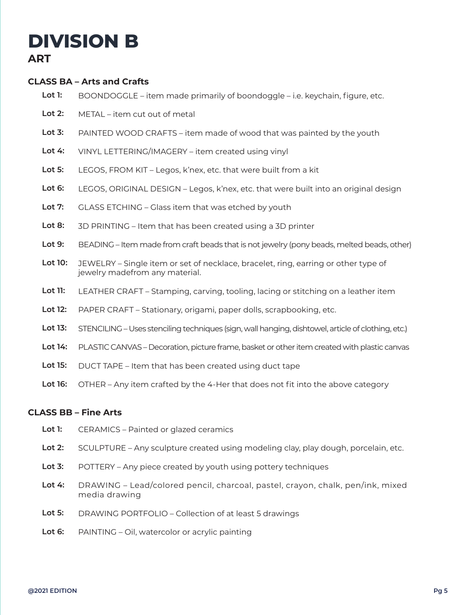## **DIVISION B**

#### **ART**

#### **CLASS BA – Arts and Crafts**

- **Lot 1:**  BOONDOGGLE – item made primarily of boondoggle – i.e. keychain, figure, etc.
- **Lot 2:**  METAL – item cut out of metal
- **Lot 3:** PAINTED WOOD CRAFTS – item made of wood that was painted by the youth
- **Lot 4:**  VINYL LETTERING/IMAGERY – item created using vinyl
- **Lot 5:**  LEGOS, FROM KIT – Legos, k'nex, etc. that were built from a kit
- **Lot 6:**  LEGOS, ORIGINAL DESIGN – Legos, k'nex, etc. that were built into an original design
- **Lot 7:**  GLASS ETCHING – Glass item that was etched by youth
- **Lot 8:**  3D PRINTING – Item that has been created using a 3D printer
- **Lot 9:**  BEADING – Item made from craft beads that is not jewelry (pony beads, melted beads, other)
- **Lot 10:** JEWELRY – Single item or set of necklace, bracelet, ring, earring or other type of jewelry madefrom any material.
- **Lot 11:**  LEATHER CRAFT – Stamping, carving, tooling, lacing or stitching on a leather item
- **Lot 12:**  PAPER CRAFT – Stationary, origami, paper dolls, scrapbooking, etc.
- **Lot 13:** STENCILING – Uses stenciling techniques (sign, wall hanging, dishtowel, article of clothing, etc.)
- **Lot 14:**  PLASTIC CANVAS – Decoration, picture frame, basket or other item created with plastic canvas
- **Lot 15:**  DUCT TAPE – Item that has been created using duct tape
- **Lot 16:**  OTHER – Any item crafted by the 4-Her that does not fit into the above category

#### **CLASS BB – Fine Arts**

- **Lot 1:**  CERAMICS – Painted or glazed ceramics
- **Lot 2:**  SCULPTURE – Any sculpture created using modeling clay, play dough, porcelain, etc.
- **Lot 3:**  POTTERY – Any piece created by youth using pottery techniques
- **Lot 4:**  DRAWING – Lead/colored pencil, charcoal, pastel, crayon, chalk, pen/ink, mixed media drawing
- **Lot 5:** DRAWING PORTFOLIO – Collection of at least 5 drawings
- **Lot 6:**  PAINTING – Oil, watercolor or acrylic painting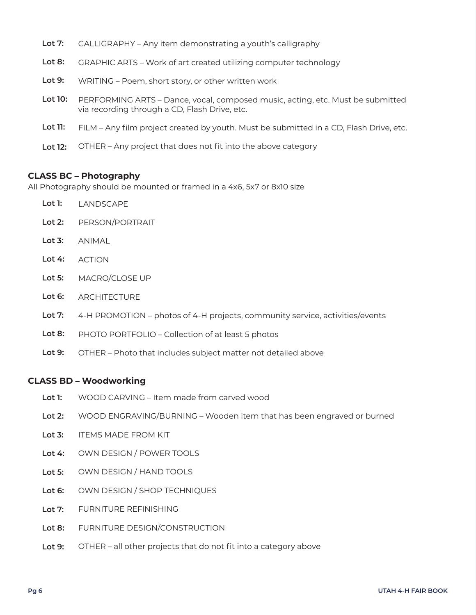|  | Lot 7: CALLIGRAPHY - Any item demonstrating a youth's calligraphy |  |  |  |
|--|-------------------------------------------------------------------|--|--|--|
|--|-------------------------------------------------------------------|--|--|--|

- **Lot 8:**  GRAPHIC ARTS – Work of art created utilizing computer technology
- **Lot 9:**  WRITING – Poem, short story, or other written work
- **Lot 10:**  PERFORMING ARTS – Dance, vocal, composed music, acting, etc. Must be submitted via recording through a CD, Flash Drive, etc.
- **Lot 11:** FILM – Any film project created by youth. Must be submitted in a CD, Flash Drive, etc.
- **Lot 12:**  OTHER – Any project that does not fit into the above category

#### **CLASS BC – Photography**

All Photography should be mounted or framed in a 4x6, 5x7 or 8x10 size

- **Lot 1:** LANDSCAPE
- **Lot 2:**  PERSON/PORTRAIT
- **Lot 3:**  ANIMAL
- **Lot 4:**  ACTION
- **Lot 5:**  MACRO/CLOSE UP
- **Lot 6: ARCHITECTURE**
- **Lot 7:**  4-H PROMOTION – photos of 4-H projects, community service, activities/events
- **Lot 8:**  PHOTO PORTFOLIO – Collection of at least 5 photos
- **Lot 9:**  OTHER – Photo that includes subject matter not detailed above

#### **CLASS BD – Woodworking**

- **Lot 1:**  WOOD CARVING – Item made from carved wood
- **Lot 2:**  WOOD ENGRAVING/BURNING – Wooden item that has been engraved or burned
- **Lot 3:**  ITEMS MADE FROM KIT
- **Lot 4:**  OWN DESIGN / POWER TOOLS
- **Lot 5:**  OWN DESIGN / HAND TOOLS
- **Lot 6:**  OWN DESIGN / SHOP TECHNIQUES
- **Lot 7:**  FURNITURE REFINISHING
- **Lot 8:**  FURNITURE DESIGN/CONSTRUCTION
- **Lot 9:**  OTHER – all other projects that do not fit into a category above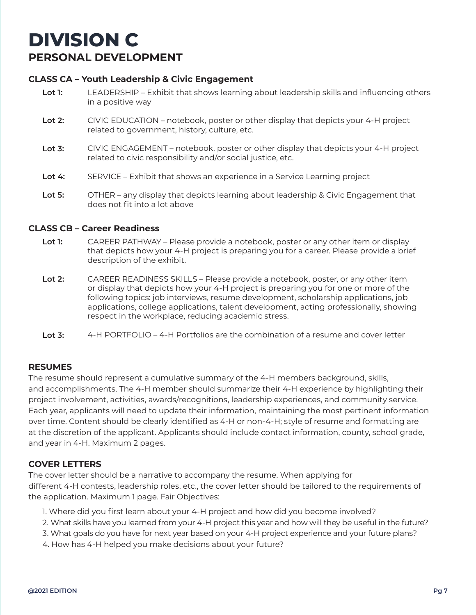## **DIVISION C PERSONAL DEVELOPMENT**

#### **CLASS CA – Youth Leadership & Civic Engagement**

- **Lot 1:**  LEADERSHIP – Exhibit that shows learning about leadership skills and influencing others in a positive way
- **Lot 2:**  CIVIC EDUCATION – notebook, poster or other display that depicts your 4-H project related to government, history, culture, etc.
- **Lot 3:** CIVIC ENGAGEMENT – notebook, poster or other display that depicts your 4-H project related to civic responsibility and/or social justice, etc.
- **Lot 4:**  SERVICE – Exhibit that shows an experience in a Service Learning project
- **Lot 5:**  OTHER – any display that depicts learning about leadership & Civic Engagement that does not fit into a lot above

#### **CLASS CB – Career Readiness**

- **Lot 1:**  CAREER PATHWAY – Please provide a notebook, poster or any other item or display that depicts how your 4-H project is preparing you for a career. Please provide a brief description of the exhibit.
- **Lot 2:**  CAREER READINESS SKILLS – Please provide a notebook, poster, or any other item or display that depicts how your 4-H project is preparing you for one or more of the following topics: job interviews, resume development, scholarship applications, job applications, college applications, talent development, acting professionally, showing respect in the workplace, reducing academic stress.
- **Lot 3:** 4-H PORTFOLIO – 4-H Portfolios are the combination of a resume and cover letter

#### **RESUMES**

The resume should represent a cumulative summary of the 4-H members background, skills, and accomplishments. The 4-H member should summarize their 4-H experience by highlighting their project involvement, activities, awards/recognitions, leadership experiences, and community service. Each year, applicants will need to update their information, maintaining the most pertinent information over time. Content should be clearly identified as 4-H or non-4-H; style of resume and formatting are at the discretion of the applicant. Applicants should include contact information, county, school grade, and year in 4-H. Maximum 2 pages.

#### **COVER LETTERS**

The cover letter should be a narrative to accompany the resume. When applying for different 4-H contests, leadership roles, etc., the cover letter should be tailored to the requirements of the application. Maximum 1 page. Fair Objectives:

- 1. Where did you first learn about your 4-H project and how did you become involved?
- 2. What skills have you learned from your 4-H project this year and how will they be useful in the future?
- 3. What goals do you have for next year based on your 4-H project experience and your future plans?
- 4. How has 4-H helped you make decisions about your future?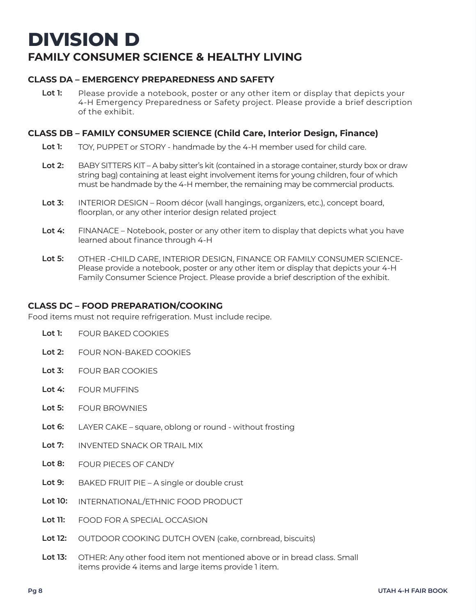## **DIVISION D FAMILY CONSUMER SCIENCE & HEALTHY LIVING**

#### **CLASS DA – EMERGENCY PREPAREDNESS AND SAFETY**

**Lot 1:**  Please provide a notebook, poster or any other item or display that depicts your 4-H Emergency Preparedness or Safety project. Please provide a brief description of the exhibit.

#### **CLASS DB – FAMILY CONSUMER SCIENCE (Child Care, Interior Design, Finance)**

- **Lot 1:**  TOY, PUPPET or STORY - handmade by the 4-H member used for child care.
- **Lot 2:**  BABY SITTERS KIT – A baby sitter's kit (contained in a storage container, sturdy box or draw string bag) containing at least eight involvement items for young children, four of which must be handmade by the 4-H member, the remaining may be commercial products.
- **Lot 3:** INTERIOR DESIGN – Room décor (wall hangings, organizers, etc.), concept board, floorplan, or any other interior design related project
- **Lot 4:**  FINANACE – Notebook, poster or any other item to display that depicts what you have learned about finance through 4-H
- **Lot 5:** OTHER -CHILD CARE, INTERIOR DESIGN, FINANCE OR FAMILY CONSUMER SCIENCE-Please provide a notebook, poster or any other item or display that depicts your 4-H Family Consumer Science Project. Please provide a brief description of the exhibit.

#### **CLASS DC – FOOD PREPARATION/COOKING**

Food items must not require refrigeration. Must include recipe.

- **Lot 1:**  FOUR BAKED COOKIES
- **Lot 2:**  FOUR NON-BAKED COOKIES
- **Lot 3:** FOUR BAR COOKIES
- **Lot 4:**  FOUR MUFFINS
- **Lot 5:**  FOUR BROWNIES
- **Lot 6:**  LAYER CAKE – square, oblong or round - without frosting
- **Lot 7:**  INVENTED SNACK OR TRAIL MIX
- **Lot 8:**  FOUR PIECES OF CANDY
- **Lot 9:**  BAKED FRUIT PIE – A single or double crust
- **Lot 10:** INTERNATIONAL/ETHNIC FOOD PRODUCT
- **Lot 11:**  FOOD FOR A SPECIAL OCCASION
- **Lot 12:**  OUTDOOR COOKING DUTCH OVEN (cake, cornbread, biscuits)
- **Lot 13:** OTHER: Any other food item not mentioned above or in bread class. Small items provide 4 items and large items provide 1 item.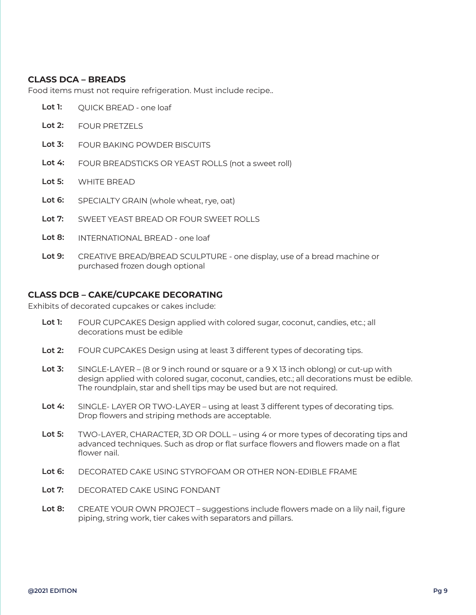#### **CLASS DCA – BREADS**

Food items must not require refrigeration. Must include recipe..

- **Lot 1:**  QUICK BREAD - one loaf
- **Lot 2:**  FOUR PRETZELS
- **Lot 3:** FOUR BAKING POWDER BISCUITS
- **Lot 4:**  FOUR BREADSTICKS OR YEAST ROLLS (not a sweet roll)
- **Lot 5:**  WHITE BREAD
- **Lot 6:**  SPECIALTY GRAIN (whole wheat, rye, oat)
- **Lot 7:**  SWEET YEAST BREAD OR FOUR SWEET ROLLS
- **Lot 8:**  INTERNATIONAL BREAD - one loaf
- **Lot 9:**  CREATIVE BREAD/BREAD SCULPTURE - one display, use of a bread machine or purchased frozen dough optional

#### **CLASS DCB – CAKE/CUPCAKE DECORATING**

Exhibits of decorated cupcakes or cakes include:

- **Lot 1:**  FOUR CUPCAKES Design applied with colored sugar, coconut, candies, etc.; all decorations must be edible
- **Lot 2:**  FOUR CUPCAKES Design using at least 3 different types of decorating tips.
- **Lot 3:** SINGLE-LAYER – (8 or 9 inch round or square or a 9 X 13 inch oblong) or cut-up with design applied with colored sugar, coconut, candies, etc.; all decorations must be edible. The roundplain, star and shell tips may be used but are not required.
- **Lot 4:**  SINGLE- LAYER OR TWO-LAYER – using at least 3 different types of decorating tips. Drop flowers and striping methods are acceptable.
- **Lot 5:** TWO-LAYER, CHARACTER, 3D OR DOLL – using 4 or more types of decorating tips and advanced techniques. Such as drop or flat surface flowers and flowers made on a flat flower nail.
- **Lot 6:**  DECORATED CAKE USING STYROFOAM OR OTHER NON-EDIBLE FRAME
- **Lot 7:**  DECORATED CAKE USING FONDANT
- **Lot 8:** CREATE YOUR OWN PROJECT – suggestions include flowers made on a lily nail, figure piping, string work, tier cakes with separators and pillars.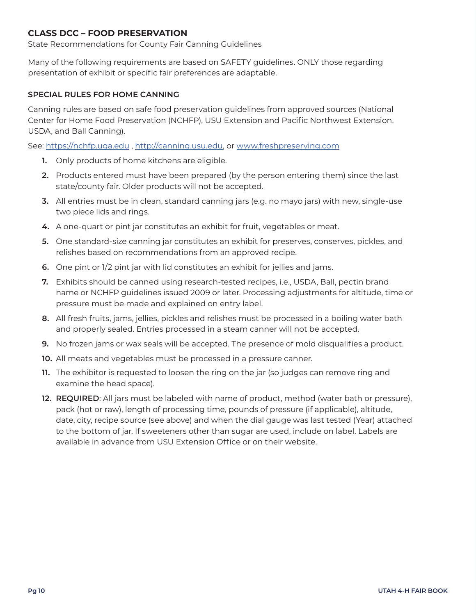#### **CLASS DCC – FOOD PRESERVATION**

State Recommendations for County Fair Canning Guidelines

Many of the following requirements are based on SAFETY guidelines. ONLY those regarding presentation of exhibit or specific fair preferences are adaptable.

#### **SPECIAL RULES FOR HOME CANNING**

Canning rules are based on safe food preservation guidelines from approved sources (National Center for Home Food Preservation (NCHFP), USU Extension and Pacific Northwest Extension, USDA, and Ball Canning).

See: https://nchfp.uga.edu , http://canning.usu.edu, or www.freshpreserving.com

- **1.** Only products of home kitchens are eligible.
- **2.** Products entered must have been prepared (by the person entering them) since the last state/county fair. Older products will not be accepted.
- **3.** All entries must be in clean, standard canning jars (e.g. no mayo jars) with new, single-use two piece lids and rings.
- **4.** A one-quart or pint jar constitutes an exhibit for fruit, vegetables or meat.
- **5.** One standard-size canning jar constitutes an exhibit for preserves, conserves, pickles, and relishes based on recommendations from an approved recipe.
- **6.** One pint or 1/2 pint jar with lid constitutes an exhibit for jellies and jams.
- **7.** Exhibits should be canned using research-tested recipes, i.e., USDA, Ball, pectin brand name or NCHFP guidelines issued 2009 or later. Processing adjustments for altitude, time or pressure must be made and explained on entry label.
- **8.** All fresh fruits, jams, jellies, pickles and relishes must be processed in a boiling water bath and properly sealed. Entries processed in a steam canner will not be accepted.
- **9.** No frozen jams or wax seals will be accepted. The presence of mold disqualifies a product.
- **10.** All meats and vegetables must be processed in a pressure canner.
- **11.** The exhibitor is requested to loosen the ring on the jar (so judges can remove ring and examine the head space).
- **12. REQUIRED**: All jars must be labeled with name of product, method (water bath or pressure), pack (hot or raw), length of processing time, pounds of pressure (if applicable), altitude, date, city, recipe source (see above) and when the dial gauge was last tested (Year) attached to the bottom of jar. If sweeteners other than sugar are used, include on label. Labels are available in advance from USU Extension Office or on their website.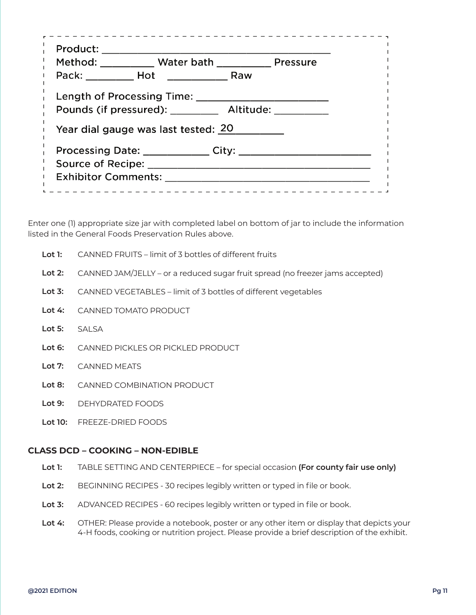| Product:                   |                                                       |  |
|----------------------------|-------------------------------------------------------|--|
|                            | Method: Water bath Pressure                           |  |
|                            |                                                       |  |
|                            | Length of Processing Time:                            |  |
|                            | Pounds (if pressured): ___________ Altitude: ________ |  |
|                            | Year dial gauge was last tested: 20                   |  |
|                            | Processing Date: ____________                         |  |
| <b>Source of Recipe:</b>   |                                                       |  |
| <b>Exhibitor Comments:</b> |                                                       |  |
|                            |                                                       |  |

Enter one (1) appropriate size jar with completed label on bottom of jar to include the information listed in the General Foods Preservation Rules above.

| Lot 1: | CANNED FRUITS – limit of 3 bottles of different fruits |
|--------|--------------------------------------------------------|
|        |                                                        |

- **Lot 2:**  CANNED JAM/JELLY – or a reduced sugar fruit spread (no freezer jams accepted)
- **Lot 3:** CANNED VEGETABLES – limit of 3 bottles of different vegetables
- **Lot 4:**  CANNED TOMATO PRODUCT
- **Lot 5:**  SALSA
- **Lot 6:**  CANNED PICKLES OR PICKLED PRODUCT
- **Lot 7:**  CANNED MEATS
- **Lot 8:**  CANNED COMBINATION PRODUCT
- **Lot 9:**  DEHYDRATED FOODS
- **Lot 10:** FREEZE-DRIED FOODS

#### **CLASS DCD – COOKING – NON-EDIBLE**

- **Lot 1:**  TABLE SETTING AND CENTERPIECE – for special occasion **(For county fair use only)**
- **Lot 2:**  BEGINNING RECIPES - 30 recipes legibly written or typed in file or book.
- **Lot 3:** ADVANCED RECIPES - 60 recipes legibly written or typed in file or book.
- **Lot 4:** OTHER: Please provide a notebook, poster or any other item or display that depicts your 4-H foods, cooking or nutrition project. Please provide a brief description of the exhibit.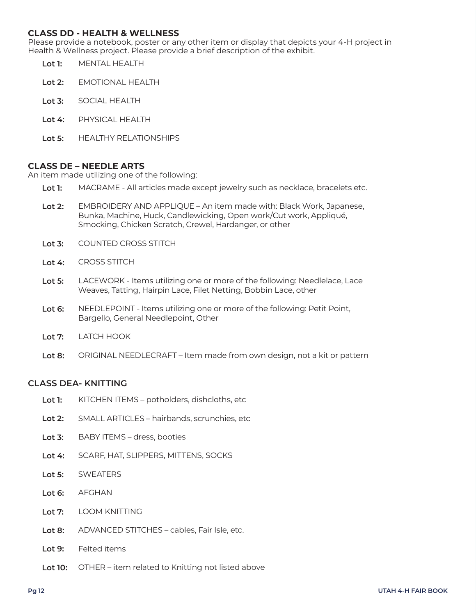#### **CLASS DD - HEALTH & WELLNESS**

Please provide a notebook, poster or any other item or display that depicts your 4-H project in Health & Wellness project. Please provide a brief description of the exhibit.

- **Lot 1:**  MENTAL HEALTH
- **Lot 2:**  EMOTIONAL HEALTH
- **Lot 3:** SOCIAL HEALTH
- **Lot 4:**  PHYSICAL HEALTH
- **Lot 5:**  HEALTHY RELATIONSHIPS

#### **CLASS DE – NEEDLE ARTS**

An item made utilizing one of the following:

- **Lot 1:**  MACRAME - All articles made except jewelry such as necklace, bracelets etc.
- **Lot 2:**  EMBROIDERY AND APPLIQUE – An item made with: Black Work, Japanese, Bunka, Machine, Huck, Candlewicking, Open work/Cut work, Appliqué, Smocking, Chicken Scratch, Crewel, Hardanger, or other
- **Lot 3:** COUNTED CROSS STITCH
- **Lot 4:**  CROSS STITCH
- **Lot 5:** LACEWORK - Items utilizing one or more of the following: Needlelace, Lace Weaves, Tatting, Hairpin Lace, Filet Netting, Bobbin Lace, other
- **Lot 6:** NEEDLEPOINT - Items utilizing one or more of the following: Petit Point, Bargello, General Needlepoint, Other
- **Lot 7:** LATCH HOOK
- **Lot 8:**  ORIGINAL NEEDLECRAFT – Item made from own design, not a kit or pattern

#### **CLASS DEA- KNITTING**

- **Lot 1:**  KITCHEN ITEMS – potholders, dishcloths, etc
- **Lot 2:**  SMALL ARTICLES – hairbands, scrunchies, etc
- **Lot 3:** BABY ITEMS – dress, booties
- **Lot 4:**  SCARF, HAT, SLIPPERS, MITTENS, SOCKS
- **Lot 5: SWEATERS**
- **Lot 6:** AFGHAN
- **Lot 7:** LOOM KNITTING
- **Lot 8:** ADVANCED STITCHES – cables, Fair Isle, etc.
- **Lot 9:** Felted items
- **Lot 10:** OTHER – item related to Knitting not listed above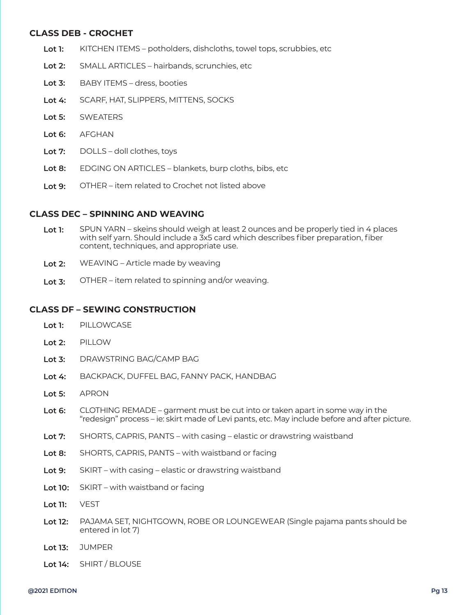#### **CLASS DEB - CROCHET**

- **Lot 1:**  KITCHEN ITEMS – potholders, dishcloths, towel tops, scrubbies, etc
- **Lot 2:**  SMALL ARTICLES – hairbands, scrunchies, etc
- **Lot 3:** BABY ITEMS – dress, booties
- **Lot 4:**  SCARF, HAT, SLIPPERS, MITTENS, SOCKS
- **Lot 5: SWEATERS**
- **Lot 6:** AFGHAN
- **Lot 7:** DOLLS – doll clothes, toys
- **Lot 8:** EDGING ON ARTICLES – blankets, burp cloths, bibs, etc
- **Lot 9:** OTHER – item related to Crochet not listed above

#### **CLASS DEC – SPINNING AND WEAVING**

- **Lot 1:**  SPUN YARN – skeins should weigh at least 2 ounces and be properly tied in 4 places with self yarn. Should include a 3x5 card which describes fiber preparation, fiber content, techniques, and appropriate use.
- **Lot 2:**  WEAVING – Article made by weaving
- **Lot 3:** OTHER – item related to spinning and/or weaving.

#### **CLASS DF – SEWING CONSTRUCTION**

- **Lot 1:**  PILLOWCASE
- **Lot 2:**  PILLOW
- **Lot 3:** DRAWSTRING BAG/CAMP BAG
- **Lot 4:**  BACKPACK, DUFFEL BAG, FANNY PACK, HANDBAG
- **Lot 5:** APRON
- **Lot 6:** CLOTHING REMADE – garment must be cut into or taken apart in some way in the "redesign" process – ie: skirt made of Levi pants, etc. May include before and after picture.
- **Lot 7:** SHORTS, CAPRIS, PANTS – with casing – elastic or drawstring waistband
- **Lot 8:** SHORTS, CAPRIS, PANTS – with waistband or facing
- **Lot 9:** SKIRT – with casing – elastic or drawstring waistband
- **Lot 10:**  SKIRT – with waistband or facing
- **Lot 11:**  VEST
- **Lot 12:** PAJAMA SET, NIGHTGOWN, ROBE OR LOUNGEWEAR (Single pajama pants should be entered in lot 7)
- **Lot 13:**  JUMPER
- **Lot 14:** SHIRT / BLOUSE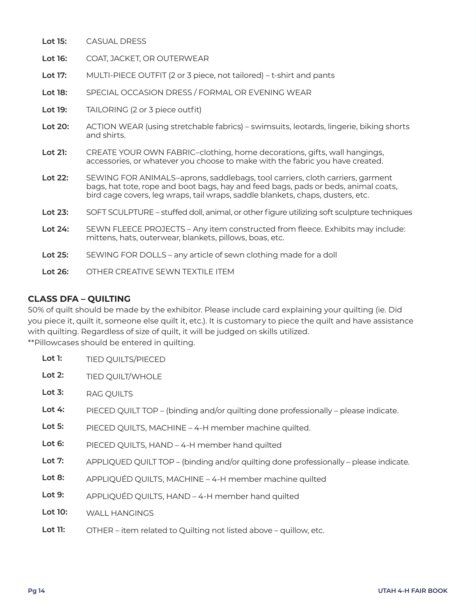- **Lot 15:** CASUAL DRESS
- **Lot 16:** COAT, JACKET, OR OUTERWEAR
- **Lot 17:** MULTI-PIECE OUTFIT (2 or 3 piece, not tailored) – t-shirt and pants
- **Lot 18:** SPECIAL OCCASION DRESS / FORMAL OR EVENING WEAR
- **Lot 19:**  TAILORING (2 or 3 piece outfit)
- **Lot 20:**  ACTION WEAR (using stretchable fabrics) – swimsuits, leotards, lingerie, biking shorts and shirts.
- **Lot 21:** CREATE YOUR OWN FABRIC–clothing, home decorations, gifts, wall hangings, accessories, or whatever you choose to make with the fabric you have created.
- **Lot 22:**  SEWING FOR ANIMALS–aprons, saddlebags, tool carriers, cloth carriers, garment bags, hat tote, rope and boot bags, hay and feed bags, pads or beds, animal coats, bird cage covers, leg wraps, tail wraps, saddle blankets, chaps, dusters, etc.
- **Lot 23:** SOFT SCULPTURE – stuffed doll, animal, or other figure utilizing soft sculpture techniques
- **Lot 24:** SEWN FLEECE PROJECTS – Any item constructed from fleece. Exhibits may include: mittens, hats, outerwear, blankets, pillows, boas, etc.
- **Lot 25:** SEWING FOR DOLLS – any article of sewn clothing made for a doll
- **Lot 26:** OTHER CREATIVE SEWN TEXTILE ITEM

#### **CLASS DFA – QUILTING**

50% of quilt should be made by the exhibitor. Please include card explaining your quilting (ie. Did you piece it, quilt it, someone else quilt it, etc.). It is customary to piece the quilt and have assistance with quilting. Regardless of size of quilt, it will be judged on skills utilized. \*\*Pillowcases should be entered in quilting.

**Lot 1:**  TIED QUILTS/PIECED

- **Lot 2:**  TIED QUILT/WHOLE
- **Lot 3:** RAG QUILTS
- **Lot 4:**  PIECED QUILT TOP – (binding and/or quilting done professionally – please indicate.
- **Lot 5:** PIECED QUILTS, MACHINE – 4-H member machine quilted.
- **Lot 6:** PIECED QUILTS, HAND – 4-H member hand quilted
- **Lot 7:** APPLIQUED QUILT TOP – (binding and/or quilting done professionally – please indicate.
- **Lot 8:** APPLIQUÉD QUILTS, MACHINE – 4-H member machine quilted
- **Lot 9:** APPLIQUÉD QUILTS, HAND – 4-H member hand quilted
- **Lot 10:**  WALL HANGINGS
- **Lot 11:**  OTHER – item related to Quilting not listed above – quillow, etc.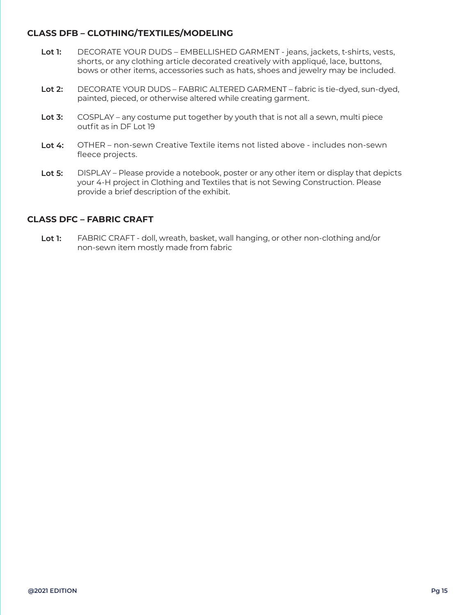#### **CLASS DFB – CLOTHING/TEXTILES/MODELING**

- **Lot 1:**  DECORATE YOUR DUDS – EMBELLISHED GARMENT - jeans, jackets, t-shirts, vests, shorts, or any clothing article decorated creatively with appliqué, lace, buttons, bows or other items, accessories such as hats, shoes and jewelry may be included.
- **Lot 2:**  DECORATE YOUR DUDS – FABRIC ALTERED GARMENT – fabric is tie-dyed, sun-dyed, painted, pieced, or otherwise altered while creating garment.
- **Lot 3:** COSPLAY – any costume put together by youth that is not all a sewn, multi piece outfit as in DF Lot 19
- **Lot 4:**  OTHER – non-sewn Creative Textile items not listed above - includes non-sewn fleece projects.
- **Lot 5:**  DISPLAY – Please provide a notebook, poster or any other item or display that depicts your 4-H project in Clothing and Textiles that is not Sewing Construction. Please provide a brief description of the exhibit.

#### **CLASS DFC – FABRIC CRAFT**

**Lot 1:**  FABRIC CRAFT - doll, wreath, basket, wall hanging, or other non-clothing and/or non-sewn item mostly made from fabric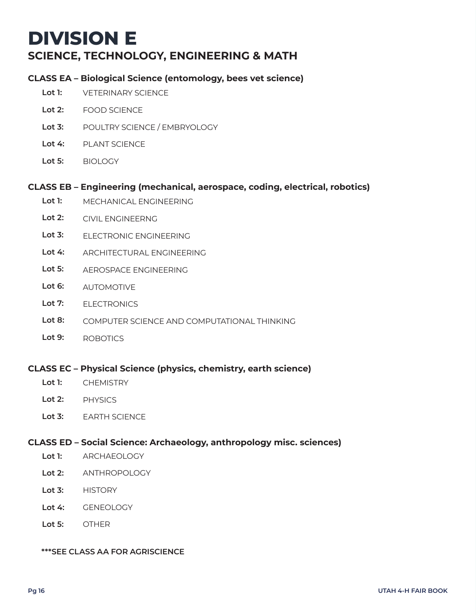## **DIVISION E SCIENCE, TECHNOLOGY, ENGINEERING & MATH**

#### **CLASS EA – Biological Science (entomology, bees vet science)**

- **Lot 1:**  VETERINARY SCIENCE
- **Lot 2:**  FOOD SCIENCE
- **Lot 3:** POULTRY SCIENCE / EMBRYOLOGY
- **Lot 4:**  PLANT SCIENCE
- **Lot 5:** BIOLOGY

#### **CLASS EB – Engineering (mechanical, aerospace, coding, electrical, robotics)**

- **Lot 1:**  MECHANICAL ENGINEERING
- **Lot 2:**  CIVIL ENGINEERNG
- **Lot 3:** ELECTRONIC ENGINEERING
- **Lot 4:**  ARCHITECTURAL ENGINEERING
- **Lot 5:** AEROSPACE ENGINEERING
- **Lot 6:** AUTOMOTIVE
- **Lot 7:** ELECTRONICS
- **Lot 8:** COMPUTER SCIENCE AND COMPUTATIONAL THINKING
- **Lot 9:** ROBOTICS

#### **CLASS EC – Physical Science (physics, chemistry, earth science)**

- **Lot 1: CHEMISTRY**
- **Lot 2: PHYSICS**
- **Lot 3:** EARTH SCIENCE

#### **CLASS ED – Social Science: Archaeology, anthropology misc. sciences)**

- **Lot 1:**  ARCHAEOLOGY
- **Lot 2:**  ANTHROPOLOGY
- **Lot 3:** HISTORY
- **Lot 4:**  GENEOLOGY
- **Lot 5:** OTHER

#### **\*\*\*SEE CLASS AA FOR AGRISCIENCE**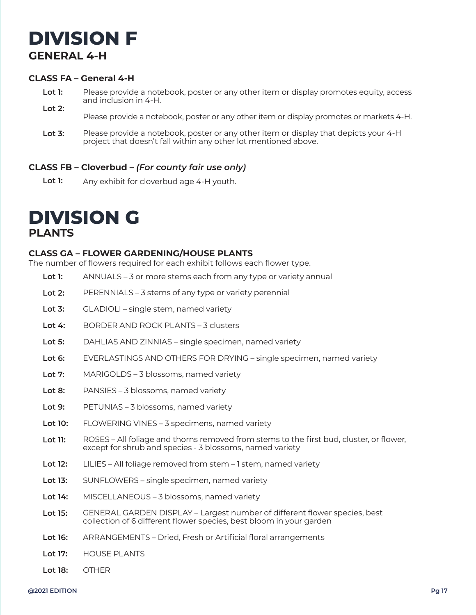## **DIVISION F GENERAL 4-H**

#### **CLASS FA – General 4-H**

- **Lot 1: Lot 2:**  Please provide a notebook, poster or any other item or display promotes equity, access and inclusion in 4-H.
	- Please provide a notebook, poster or any other item or display promotes or markets 4-H.
- **Lot 3:** Please provide a notebook, poster or any other item or display that depicts your 4-H project that doesn't fall within any other lot mentioned above.

#### **CLASS FB – Cloverbud –** *(For county fair use only)*

**Lot 1:**  Any exhibit for cloverbud age 4-H youth.

## **DIVISION G PLANTS**

#### **CLASS GA – FLOWER GARDENING/HOUSE PLANTS**

The number of flowers required for each exhibit follows each flower type.

- **Lot 1:**  ANNUALS – 3 or more stems each from any type or variety annual
- **Lot 2:**  PERENNIALS – 3 stems of any type or variety perennial
- **Lot 3:** GLADIOLI – single stem, named variety
- **Lot 4:**  BORDER AND ROCK PLANTS – 3 clusters
- **Lot 5:** DAHLIAS AND ZINNIAS – single specimen, named variety
- **Lot 6:** EVERLASTINGS AND OTHERS FOR DRYING – single specimen, named variety
- **Lot 7:** MARIGOLDS – 3 blossoms, named variety
- **Lot 8:** PANSIES – 3 blossoms, named variety
- **Lot 9:** PETUNIAS – 3 blossoms, named variety
- **Lot 10:**  FLOWERING VINES – 3 specimens, named variety
- **Lot 11:**  ROSES – All foliage and thorns removed from stems to the first bud, cluster, or flower, except for shrub and species - 3 blossoms, named variety
- **Lot 12:** LILIES – All foliage removed from stem – 1 stem, named variety
- **Lot 13:**  SUNFLOWERS – single specimen, named variety
- **Lot 14:** MISCELLANEOUS – 3 blossoms, named variety
- **Lot 15:** GENERAL GARDEN DISPLAY – Largest number of different flower species, best collection of 6 different flower species, best bloom in your garden
- **Lot 16:** ARRANGEMENTS – Dried, Fresh or Artificial floral arrangements
- **Lot 17:** HOUSE PLANTS
- **Lot 18:** OTHER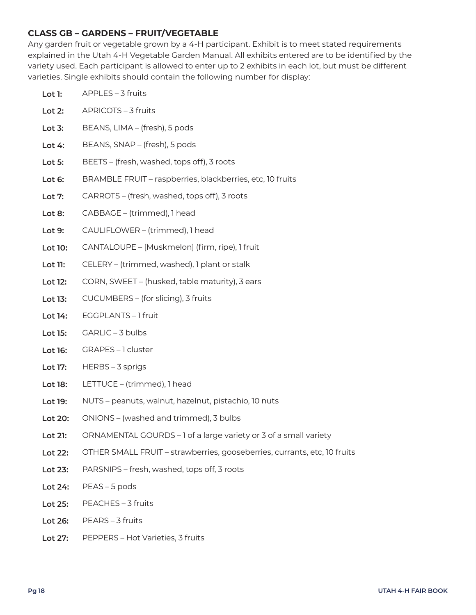#### **CLASS GB – GARDENS – FRUIT/VEGETABLE**

Any garden fruit or vegetable grown by a 4-H participant. Exhibit is to meet stated requirements explained in the Utah 4-H Vegetable Garden Manual. All exhibits entered are to be identified by the variety used. Each participant is allowed to enter up to 2 exhibits in each lot, but must be different varieties. Single exhibits should contain the following number for display:

| Lot 1:    | APPLES - 3 fruits                                                        |  |
|-----------|--------------------------------------------------------------------------|--|
| Lot $2$ : | APRICOTS - 3 fruits                                                      |  |
| Lot $3:$  | BEANS, LIMA - (fresh), 5 pods                                            |  |
| Lot $4:$  | BEANS, SNAP - (fresh), 5 pods                                            |  |
| Lot 5:    | BEETS - (fresh, washed, tops off), 3 roots                               |  |
| Lot 6:    | BRAMBLE FRUIT - raspberries, blackberries, etc, 10 fruits                |  |
| Lot 7:    | CARROTS – (fresh, washed, tops off), 3 roots                             |  |
| Lot 8:    | CABBAGE - (trimmed), 1 head                                              |  |
| Lot 9:    | CAULIFLOWER - (trimmed), 1 head                                          |  |
| Lot 10:   | CANTALOUPE - [Muskmelon] (firm, ripe), 1 fruit                           |  |
| Lot 11:   | CELERY – (trimmed, washed), 1 plant or stalk                             |  |
| Lot 12:   | CORN, SWEET - (husked, table maturity), 3 ears                           |  |
| Lot 13:   | CUCUMBERS - (for slicing), 3 fruits                                      |  |
| Lot 14:   | EGGPLANTS-1 fruit                                                        |  |
| Lot 15:   | GARLIC - 3 bulbs                                                         |  |
| Lot 16:   | GRAPES-1 cluster                                                         |  |
| Lot 17:   | HERBS - 3 sprigs                                                         |  |
| Lot 18:   | LETTUCE - (trimmed), 1 head                                              |  |
| Lot 19:   | NUTS - peanuts, walnut, hazelnut, pistachio, 10 nuts                     |  |
| Lot 20:   | ONIONS - (washed and trimmed), 3 bulbs                                   |  |
| Lot 21:   | ORNAMENTAL GOURDS - 1 of a large variety or 3 of a small variety         |  |
| Lot 22:   | OTHER SMALL FRUIT - strawberries, gooseberries, currants, etc, 10 fruits |  |
| Lot 23:   | PARSNIPS - fresh, washed, tops off, 3 roots                              |  |
| Lot 24:   | PEAS-5 pods                                                              |  |
| Lot 25:   | PEACHES - 3 fruits                                                       |  |

- **Lot 26:** PEARS – 3 fruits
- **Lot 27:** PEPPERS – Hot Varieties, 3 fruits